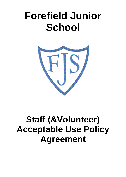## **Forefield Junior School**



## **Staff (&Volunteer) Acceptable Use Policy Agreement**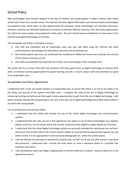## School Policy

New technologies have become integral to the lives of children and young people in today's society, both within school and in their lives outside school. The internet and other digital information and communications technologies are powerful tools, which open up new opportunities for everyone. These technologies can stimulate discussion, promote creativity and stimulate awareness of context to promote effective learning. They also bring opportunities for staff to be more creative and productive in their work. All users should have an entitlement to safe access to the internet and digital technologies at all times.

This Acceptable Use Policy is intended to ensure:

- that staff and volunteers will be responsible users and stay safe while using the internet and other communications technologies for educational, personal and recreational use.
- that school systems and users are protected from accidental or deliberate misuse that could put the security of the systems and users at risk.
- that staff are protected from potential risk in their use of technology in their everyday work.

The school will try to ensure that staff and volunteers will have good access to digital technology to enhance their work, to enhance learning opportunities for pupils learning and will, in return, expect staff and volunteers to agree to be responsible users.

## Acceptable Use Policy Agreement

I understand that I must use school systems in a responsible way, to ensure that there is no risk to my safety or to the safety and security of the systems and other users. I recognise the value of the use of digital technology for enhancing learning and will ensure that pupils receive opportunities to gain from the use of digital technology. I will, where possible, educate the young people in my care in the safe use of digital technology and embed online safety in my work with young people.

For my professional and personal safety:

- I understand that the school will monitor my use of the school digital technology and communications systems.
- I understand that the rules set out in this agreement also apply to use of these technologies (e.g. laptops, tablets, email etc.) out of school, and to the transfer of personal data (digital or paper based) out of school.
- I understand that the school digital technology systems are primarily intended for educational use and that I will ensure that all data held on the school systems relates to my professional capacity and supports my role within school. It is not appropriate to store personal photographs etc. within the school system.
- I will not disclose my username or password to anyone else, nor will I try to use any other person's username and password. I understand that I should not write down or store a password where it is possible that someone may steal it.
- I will immediately report any illegal, inappropriate or harmful material or incident, I become aware of, to the appropriate person.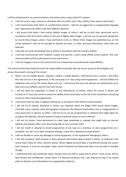I will be professional in my communications and actions when using school ICT systems:

- I will not access, copy, remove or otherwise alter any other user's files, without their express permission.
- I will communicate with others in a professional manner, I will not use aggressive or inappropriate language and I appreciate that others may have different opinions.
- I will ensure that when I take and/or publish images of others I will do so with their permission and in accordance with the school's policy on the use of digital video images. I will not use my personal equipment to record these images, unless I have permission to do so. Where these images are published (e.g. on the school website) it will not be possible to identify by name, or other personal information, those who are featured.
- I will only use social networking sites in school in accordance with the school's policies.
- I will only communicate with students / pupils and parents / carers using official school systems. Any such communication will be professional in tone and manner.
- I will not engage in any on-line activity that may compromise my professional responsibilities.

The school and the local authority have the responsibility to provide safe and secure access to technologies and ensure the smooth running of the school:

- When I use my mobile devices (laptops / tablets / mobile phones / USB devices etc) in school, I will follow the rules set out in this agreement, in the same way as if I was using school equipment. I will also follow any additional rules set by the school about such use. I will ensure that any such devices are protected by up to date anti-virus software and are free from viruses.
- I will not open any hyperlinks in emails or any attachments to emails, unless the source is known and trusted, or if I have any concerns about the validity of the email (due to the risk of the attachment containing viruses or other harmful programmes)
- I will ensure that my data is regularly backed up, in accordance with relevant school policies.
- I will not try to upload, download or access any materials which are illegal (child sexual abuse images, criminally racist material, adult pornography covered by the Obscene Publications Act) or inappropriate or may cause harm or distress to others. I will not try to use any programmes or software that might allow me to bypass the filtering / security systems in place to prevent access to such materials.
- I will not try (unless I have permission) to make large downloads or uploads that might take up internet capacity and prevent other users from being able to carry out their work.
- I will not install or attempt to install programmes of any type on a machine, or store programmes on a computer, nor will I try to alter computer settings, unless this is allowed in school policies.
- I will not disable or cause any damage to school equipment, or the equipment belonging to others.
- I will only transport, hold, disclose or share personal information about myself or others, as outlined in the School Data Policy (or other relevant policy). Where digital personal data is transferred outside the secure local network, it must be encrypted. Paper based Protected and Restricted data must be held in lockable storage.
- I understand that data protection policy requires that any staff or pupil data to which I have access, will be kept private and confidential, except when it is deemed necessary that I am required by law or by school policy to disclose such information to an appropriate authority.